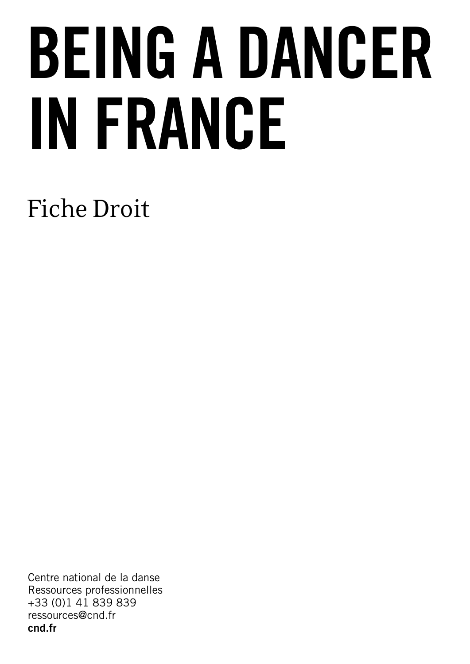# BEING A DANCER IN FRANCE

# Fiche Droit

Centre national de la danse Ressources professionnelles +33 (0)1 41 839 839 ressources@cnd.fr cnd.fr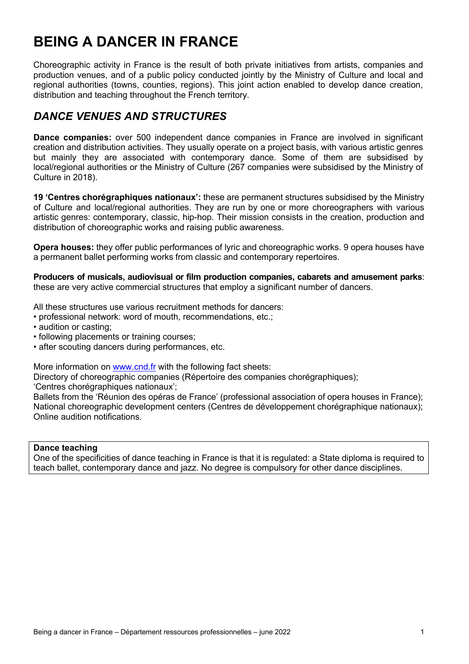# **BEING A DANCER IN FRANCE**

Choreographic activity in France is the result of both private initiatives from artists, companies and production venues, and of a public policy conducted jointly by the Ministry of Culture and local and regional authorities (towns, counties, regions). This joint action enabled to develop dance creation, distribution and teaching throughout the French territory.

# *DANCE VENUES AND STRUCTURES*

**Dance companies:** over 500 independent dance companies in France are involved in significant creation and distribution activities. They usually operate on a project basis, with various artistic genres but mainly they are associated with contemporary dance. Some of them are subsidised by local/regional authorities or the Ministry of Culture (267 companies were subsidised by the Ministry of Culture in 2018).

**19 'Centres chorégraphiques nationaux':** these are permanent structures subsidised by the Ministry of Culture and local/regional authorities. They are run by one or more choreographers with various artistic genres: contemporary, classic, hip-hop. Their mission consists in the creation, production and distribution of choreographic works and raising public awareness.

**Opera houses:** they offer public performances of lyric and choreographic works. 9 opera houses have a permanent ballet performing works from classic and contemporary repertoires.

**Producers of musicals, audiovisual or film production companies, cabarets and amusement parks**: these are very active commercial structures that employ a significant number of dancers.

All these structures use various recruitment methods for dancers:

- professional network: word of mouth, recommendations, etc.;
- audition or casting;
- following placements or training courses;
- after scouting dancers during performances, etc.

More information on www.cnd.fr with the following fact sheets:

Directory of choreographic companies (Répertoire des companies chorégraphiques); 'Centres chorégraphiques nationaux';

Ballets from the 'Réunion des opéras de France' (professional association of opera houses in France); National choreographic development centers (Centres de développement chorégraphique nationaux); Online audition notifications.

#### **Dance teaching**

One of the specificities of dance teaching in France is that it is regulated: a State diploma is required to teach ballet, contemporary dance and jazz. No degree is compulsory for other dance disciplines.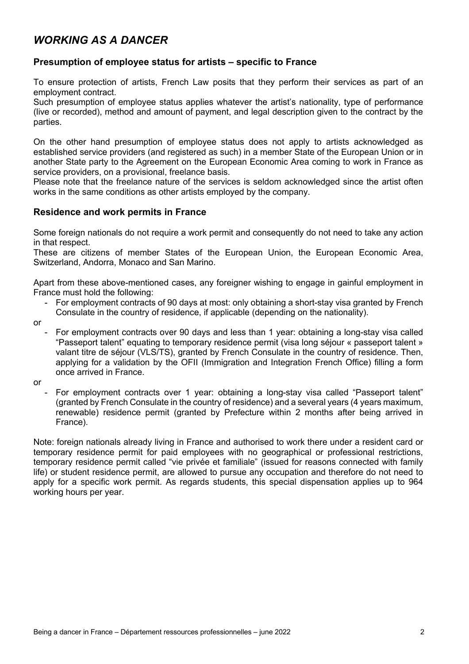## *WORKING AS A DANCER*

#### **Presumption of employee status for artists – specific to France**

To ensure protection of artists, French Law posits that they perform their services as part of an employment contract.

Such presumption of employee status applies whatever the artist's nationality, type of performance (live or recorded), method and amount of payment, and legal description given to the contract by the parties.

On the other hand presumption of employee status does not apply to artists acknowledged as established service providers (and registered as such) in a member State of the European Union or in another State party to the Agreement on the European Economic Area coming to work in France as service providers, on a provisional, freelance basis.

Please note that the freelance nature of the services is seldom acknowledged since the artist often works in the same conditions as other artists employed by the company.

#### **Residence and work permits in France**

Some foreign nationals do not require a work permit and consequently do not need to take any action in that respect.

These are citizens of member States of the European Union, the European Economic Area, Switzerland, Andorra, Monaco and San Marino.

Apart from these above-mentioned cases, any foreigner wishing to engage in gainful employment in France must hold the following:

- For employment contracts of 90 days at most: only obtaining a short-stay visa granted by French Consulate in the country of residence, if applicable (depending on the nationality).
- or
	- For employment contracts over 90 days and less than 1 year: obtaining a long-stay visa called "Passeport talent" equating to temporary residence permit (visa long séjour « passeport talent » valant titre de séjour (VLS/TS), granted by French Consulate in the country of residence. Then, applying for a validation by the OFII (Immigration and Integration French Office) filling a form once arrived in France.
- or
- For employment contracts over 1 year: obtaining a long-stay visa called "Passeport talent" (granted by French Consulate in the country of residence) and a several years (4 years maximum, renewable) residence permit (granted by Prefecture within 2 months after being arrived in France).

Note: foreign nationals already living in France and authorised to work there under a resident card or temporary residence permit for paid employees with no geographical or professional restrictions, temporary residence permit called "vie privée et familiale" (issued for reasons connected with family life) or student residence permit, are allowed to pursue any occupation and therefore do not need to apply for a specific work permit. As regards students, this special dispensation applies up to 964 working hours per year.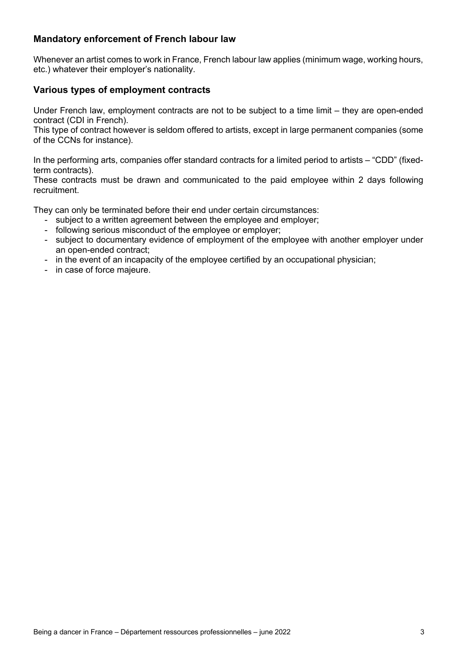#### **Mandatory enforcement of French labour law**

Whenever an artist comes to work in France, French labour law applies (minimum wage, working hours, etc.) whatever their employer's nationality.

#### **Various types of employment contracts**

Under French law, employment contracts are not to be subject to a time limit – they are open-ended contract (CDI in French).

This type of contract however is seldom offered to artists, except in large permanent companies (some of the CCNs for instance).

In the performing arts, companies offer standard contracts for a limited period to artists – "CDD" (fixedterm contracts).

These contracts must be drawn and communicated to the paid employee within 2 days following recruitment.

They can only be terminated before their end under certain circumstances:

- subject to a written agreement between the employee and employer;
- following serious misconduct of the employee or employer;
- subject to documentary evidence of employment of the employee with another employer under an open-ended contract;
- in the event of an incapacity of the employee certified by an occupational physician;
- in case of force majeure.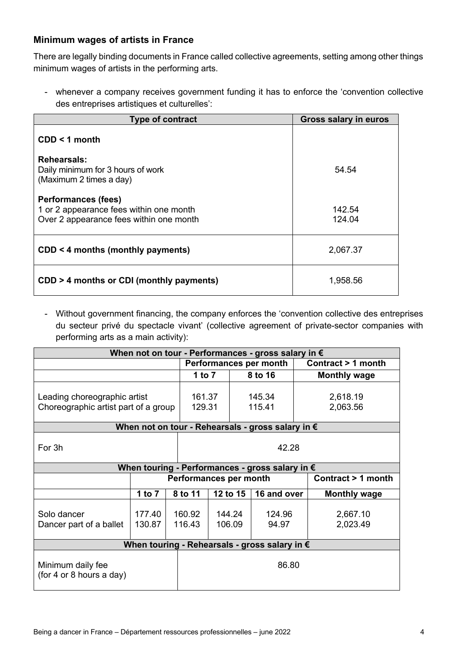#### **Minimum wages of artists in France**

There are legally binding documents in France called collective agreements, setting among other things minimum wages of artists in the performing arts.

- whenever a company receives government funding it has to enforce the 'convention collective des entreprises artistiques et culturelles':

| <b>Type of contract</b>                                                                                          | <b>Gross salary in euros</b> |  |  |
|------------------------------------------------------------------------------------------------------------------|------------------------------|--|--|
| $CDD < 1$ month                                                                                                  |                              |  |  |
| Rehearsals:<br>Daily minimum for 3 hours of work<br>(Maximum 2 times a day)                                      | 54.54                        |  |  |
| <b>Performances (fees)</b><br>1 or 2 appearance fees within one month<br>Over 2 appearance fees within one month | 142.54<br>124.04             |  |  |
| $CDD < 4$ months (monthly payments)                                                                              | 2,067.37                     |  |  |
| CDD > 4 months or CDI (monthly payments)                                                                         | 1,958.56                     |  |  |

- Without government financing, the company enforces the 'convention collective des entreprises du secteur privé du spectacle vivant' (collective agreement of private-sector companies with performing arts as a main activity):

| When not on tour - Performances - gross salary in €                  |                        |                  |                        |                  |                 |                     |                      |  |  |
|----------------------------------------------------------------------|------------------------|------------------|------------------------|------------------|-----------------|---------------------|----------------------|--|--|
|                                                                      |                        |                  | Performances per month |                  |                 |                     | Contract > 1 month   |  |  |
|                                                                      |                        |                  | 1 to $7$               | 8 to 16          |                 | <b>Monthly wage</b> |                      |  |  |
| Leading choreographic artist<br>Choreographic artist part of a group |                        |                  | 161.37<br>129.31       | 145.34<br>115.41 |                 |                     | 2,618.19<br>2,063.56 |  |  |
| When not on tour - Rehearsals - gross salary in €                    |                        |                  |                        |                  |                 |                     |                      |  |  |
| 42.28<br>For 3h                                                      |                        |                  |                        |                  |                 |                     |                      |  |  |
| When touring - Performances - gross salary in €                      |                        |                  |                        |                  |                 |                     |                      |  |  |
|                                                                      | Performances per month |                  |                        |                  |                 |                     | Contract > 1 month   |  |  |
|                                                                      | 1 to $7$               | 8 to 11          | 12 to 15               |                  | 16 and over     |                     | <b>Monthly wage</b>  |  |  |
| Solo dancer<br>Dancer part of a ballet                               | 177.40<br>130.87       | 160.92<br>116.43 | 144.24<br>106.09       |                  | 124.96<br>94.97 |                     | 2,667.10<br>2,023.49 |  |  |
| When touring - Rehearsals - gross salary in €                        |                        |                  |                        |                  |                 |                     |                      |  |  |
| 86.80<br>Minimum daily fee<br>(for 4 or 8 hours a day)               |                        |                  |                        |                  |                 |                     |                      |  |  |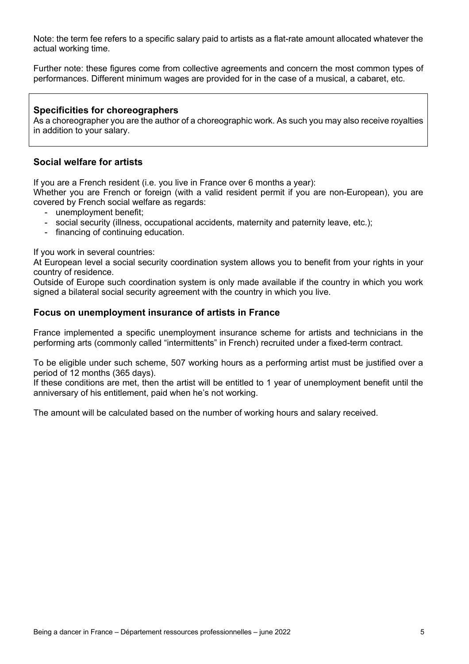Note: the term fee refers to a specific salary paid to artists as a flat-rate amount allocated whatever the actual working time.

Further note: these figures come from collective agreements and concern the most common types of performances. Different minimum wages are provided for in the case of a musical, a cabaret, etc.

#### **Specificities for choreographers**

As a choreographer you are the author of a choreographic work. As such you may also receive royalties in addition to your salary.

#### **Social welfare for artists**

If you are a French resident (i.e. you live in France over 6 months a year):

Whether you are French or foreign (with a valid resident permit if you are non-European), you are covered by French social welfare as regards:

- unemployment benefit;
- social security (illness, occupational accidents, maternity and paternity leave, etc.);
- financing of continuing education.

If you work in several countries:

At European level a social security coordination system allows you to benefit from your rights in your country of residence.

Outside of Europe such coordination system is only made available if the country in which you work signed a bilateral social security agreement with the country in which you live.

#### **Focus on unemployment insurance of artists in France**

France implemented a specific unemployment insurance scheme for artists and technicians in the performing arts (commonly called "intermittents" in French) recruited under a fixed-term contract.

To be eligible under such scheme, 507 working hours as a performing artist must be justified over a period of 12 months (365 days).

If these conditions are met, then the artist will be entitled to 1 year of unemployment benefit until the anniversary of his entitlement, paid when he's not working.

The amount will be calculated based on the number of working hours and salary received.